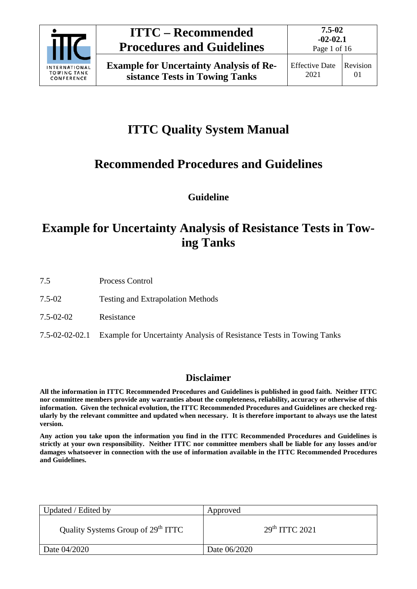

# **ITTC Quality System Manual**

## **Recommended Procedures and Guidelines**

**Guideline**

## **Example for Uncertainty Analysis of Resistance Tests in Towing Tanks**

- 7.5 Process Control
- 7.5-02 Testing and Extrapolation Methods
- 7.5-02-02 Resistance
- 7.5-02-02-02.1 Example for Uncertainty Analysis of Resistance Tests in Towing Tanks

## **Disclaimer**

**All the information in ITTC Recommended Procedures and Guidelines is published in good faith. Neither ITTC nor committee members provide any warranties about the completeness, reliability, accuracy or otherwise of this information. Given the technical evolution, the ITTC Recommended Procedures and Guidelines are checked regularly by the relevant committee and updated when necessary. It is therefore important to always use the latest version.**

**Any action you take upon the information you find in the ITTC Recommended Procedures and Guidelines is strictly at your own responsibility. Neither ITTC nor committee members shall be liable for any losses and/or damages whatsoever in connection with the use of information available in the ITTC Recommended Procedures and Guidelines.**

| Updated / Edited by                            | Approved         |
|------------------------------------------------|------------------|
| Quality Systems Group of 29 <sup>th</sup> ITTC | $29th$ ITTC 2021 |
| Date 04/2020                                   | Date 06/2020     |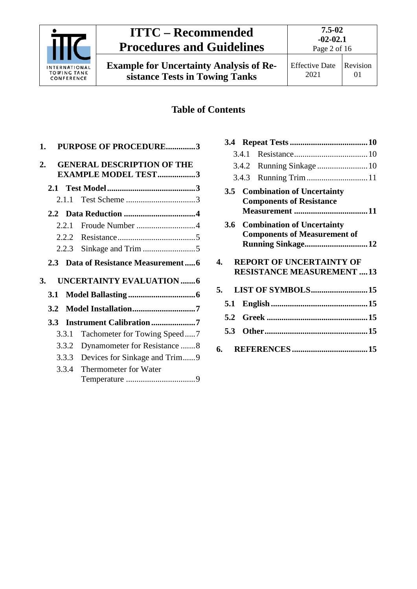

**Example for Uncertainty Analysis of Resistance Tests in Towing Tanks**

**7.5-02**

## **Table of Contents**

| 1. |                  |       | <b>PURPOSE OF PROCEDURE3</b>                                    |  |
|----|------------------|-------|-----------------------------------------------------------------|--|
| 2. |                  |       | <b>GENERAL DESCRIPTION OF THE</b><br><b>EXAMPLE MODEL TEST3</b> |  |
|    |                  |       |                                                                 |  |
|    |                  |       |                                                                 |  |
|    |                  | 2.1.1 |                                                                 |  |
|    |                  |       |                                                                 |  |
|    |                  | 2.2.1 | Froude Number 4                                                 |  |
|    |                  |       |                                                                 |  |
|    |                  | 2.2.3 |                                                                 |  |
|    | 2.3              |       | Data of Resistance Measurement6                                 |  |
| 3. |                  |       | <b>UNCERTAINTY EVALUATION6</b>                                  |  |
|    |                  |       |                                                                 |  |
|    | 3.1              |       |                                                                 |  |
|    | 3.2              |       |                                                                 |  |
|    | 3.3 <sup>2</sup> |       | <b>Instrument Calibration 7</b>                                 |  |
|    |                  | 3.3.1 | Tachometer for Towing Speed7                                    |  |
|    |                  | 3.3.2 | Dynamometer for Resistance 8                                    |  |
|    |                  | 3.3.3 | Devices for Sinkage and Trim9                                   |  |
|    |                  | 3.3.4 | Thermometer for Water                                           |  |
|    |                  |       |                                                                 |  |
|    |                  |       |                                                                 |  |

| <b>RESISTANCE MEASUREMENT 13</b> |
|----------------------------------|
|                                  |
|                                  |
|                                  |
|                                  |
|                                  |
|                                  |

**3.4 [Repeat Tests.....................................10](#page-9-0)** 3.4.1 [Resistance...................................10](#page-9-1)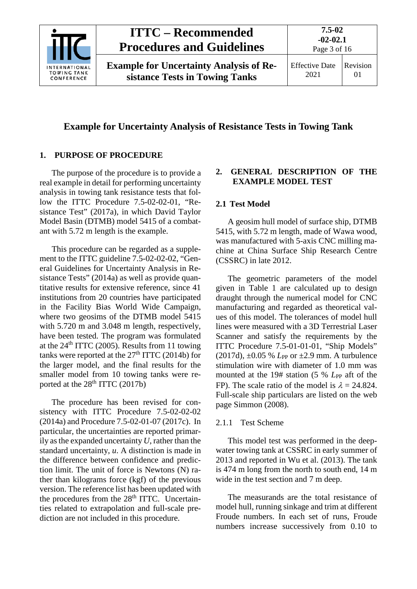

### **Example for Uncertainty Analysis of Resistance Tests in Towing Tank**

#### <span id="page-2-0"></span>**1. PURPOSE OF PROCEDURE**

The purpose of the procedure is to provide a real example in detail for performing uncertainty analysis in towing tank resistance tests that follow the ITTC Procedure 7.5-02-02-01, "Resistance Test" (2017a), in which David Taylor Model Basin (DTMB) model 5415 of a combatant with 5.72 m length is the example.

This procedure can be regarded as a supplement to the ITTC guideline 7.5-02-02-02, "General Guidelines for Uncertainty Analysis in Resistance Tests" (2014a) as well as provide quantitative results for extensive reference, since 41 institutions from 20 countries have participated in the Facility Bias World Wide Campaign, where two geosims of the DTMB model 5415 with 5.720 m and 3.048 m length, respectively, have been tested. The program was formulated at the  $24<sup>th</sup> ITTC$  (2005). Results from 11 towing tanks were reported at the  $27<sup>th</sup> ITTC$  (2014b) for the larger model, and the final results for the smaller model from 10 towing tanks were reported at the  $28<sup>th</sup> ITTC (2017b)$ 

The procedure has been revised for consistency with ITTC Procedure 7.5-02-02-02 (2014a) and Procedure 7.5-02-01-07 (2017c). In particular, the uncertainties are reported primarily as the expanded uncertainty *U*, rather than the standard uncertainty, *u*. A distinction is made in the difference between confidence and prediction limit. The unit of force is Newtons (N) rather than kilograms force (kgf) of the previous version. The reference list has been updated with the procedures from the 28<sup>th</sup> ITTC. Uncertainties related to extrapolation and full-scale prediction are not included in this procedure.

#### <span id="page-2-1"></span>**2. GENERAL DESCRIPTION OF THE EXAMPLE MODEL TEST**

#### <span id="page-2-2"></span>**2.1 Test Model**

A geosim hull model of surface ship, DTMB 5415, with 5.72 m length, made of Wawa wood, was manufactured with 5-axis CNC milling machine at China Surface Ship Research Centre (CSSRC) in late 2012.

The geometric parameters of the model given in [Table 1](#page-3-2) are calculated up to design draught through the numerical model for CNC manufacturing and regarded as theoretical values of this model. The tolerances of model hull lines were measured with a 3D Terrestrial Laser Scanner and satisfy the requirements by the ITTC Procedure 7.5-01-01-01, "Ship Models" (2017d), ±0.05 % *L*PP or ±2.9 mm. A turbulence stimulation wire with diameter of 1.0 mm was mounted at the 19# station (5 % *L*<sub>PP</sub> aft of the FP). The scale ratio of the model is  $\lambda = 24.824$ . Full-scale ship particulars are listed on the web page Simmon (2008).

#### <span id="page-2-3"></span>2.1.1 Test Scheme

This model test was performed in the deepwater towing tank at CSSRC in early summer of 2013 and reported in Wu et al. (2013). The tank is 474 m long from the north to south end, 14 m wide in the test section and 7 m deep.

The measurands are the total resistance of model hull, running sinkage and trim at different Froude numbers. In each set of runs, Froude numbers increase successively from 0.10 to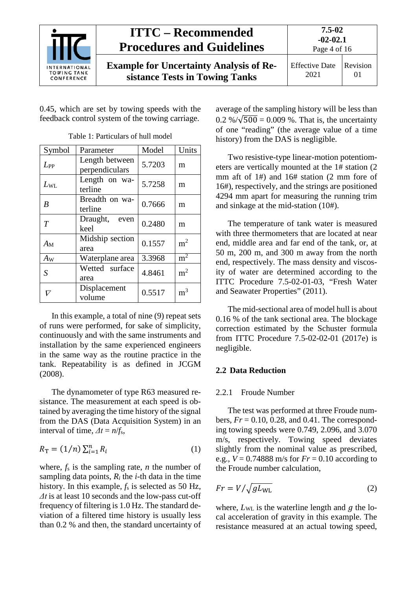

0.45, which are set by towing speeds with the feedback control system of the towing carriage.

<span id="page-3-2"></span>

| Symbol       | Parameter                        | Model  | Units          |
|--------------|----------------------------------|--------|----------------|
| $L_{PP}$     | Length between<br>perpendiculars | 5.7203 | m              |
| $L_{\rm WL}$ | Length on wa-<br>terline         | 5.7258 | m              |
| B            | Breadth on wa-<br>terline        | 0.7666 | m              |
| T            | Draught, even<br>keel            | 0.2480 | m              |
| $A_{\rm M}$  | Midship section<br>area          | 0.1557 | m <sup>2</sup> |
| $A_{W}$      | Waterplane area                  | 3.3968 | $m^2$          |
| S            | Wetted surface<br>area           | 4.8461 | m <sup>2</sup> |
| ▽            | Displacement<br>volume           | 0.5517 | m <sup>3</sup> |

Table 1: Particulars of hull model

In this example, a total of nine (9) repeat sets of runs were performed, for sake of simplicity, continuously and with the same instruments and installation by the same experienced engineers in the same way as the routine practice in the tank. Repeatability is as defined in JCGM (2008).

The dynamometer of type R63 measured resistance. The measurement at each speed is obtained by averaging the time history of the signal from the DAS (Data Acquisition System) in an interval of time,  $\Delta t = n/f_s$ ,

$$
R_{\rm T} = (1/n) \sum_{i=1}^{n} R_i \tag{1}
$$

where,  $f_s$  is the sampling rate, *n* the number of sampling data points,  $R_i$  the  $i$ -th data in the time history. In this example,  $f_s$  is selected as 50 Hz, *Δt* is at least 10 seconds and the low-pass cut-off frequency of filtering is 1.0 Hz. The standard deviation of a filtered time history is usually less than 0.2 % and then, the standard uncertainty of

average of the sampling history will be less than  $0.2\%/\sqrt{500} = 0.009\%$ . That is, the uncertainty of one "reading" (the average value of a time history) from the DAS is negligible.

Two resistive-type linear-motion potentiometers are vertically mounted at the 1# station (2 mm aft of 1#) and 16# station (2 mm fore of 16#), respectively, and the strings are positioned 4294 mm apart for measuring the running trim and sinkage at the mid-station (10#).

The temperature of tank water is measured with three thermometers that are located at near end, middle area and far end of the tank, or, at 50 m, 200 m, and 300 m away from the north end, respectively. The mass density and viscosity of water are determined according to the ITTC Procedure 7.5-02-01-03, "Fresh Water and Seawater Properties" (2011).

The mid-sectional area of model hull is about 0.16 % of the tank sectional area. The blockage correction estimated by the Schuster formula from ITTC Procedure 7.5-02-02-01 (2017e) is negligible.

### <span id="page-3-1"></span><span id="page-3-0"></span>**2.2 Data Reduction**

### 2.2.1 Froude Number

The test was performed at three Froude numbers,  $Fr = 0.10, 0.28,$  and 0.41. The corresponding towing speeds were 0.749, 2.096, and 3.070 m/s, respectively. Towing speed deviates slightly from the nominal value as prescribed, e.g.,  $V = 0.74888$  m/s for  $Fr = 0.10$  according to the Froude number calculation,

<span id="page-3-3"></span>
$$
Fr = V / \sqrt{gL_{\text{WL}}}
$$
 (2)

where,  $L_{\text{WL}}$  is the waterline length and  $q$  the local acceleration of gravity in this example. The resistance measured at an actual towing speed,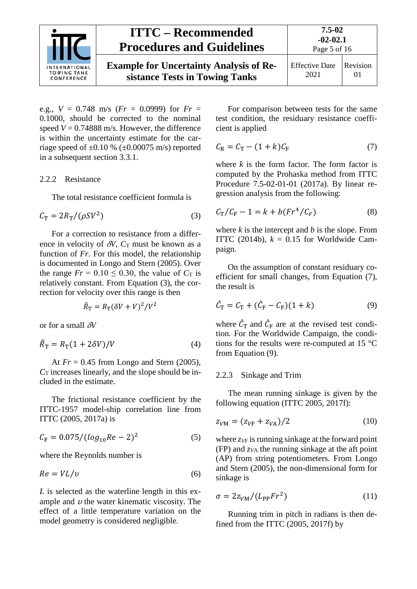

e.g.,  $V = 0.748$  m/s ( $Fr = 0.0999$ ) for  $Fr =$ 0.1000, should be corrected to the nominal speed  $V = 0.74888$  m/s. However, the difference is within the uncertainty estimate for the carriage speed of  $\pm 0.10$  % ( $\pm 0.00075$  m/s) reported in a subsequent section [3.3.1.](#page-6-2)

#### <span id="page-4-0"></span>2.2.2 Resistance

<span id="page-4-2"></span>The total resistance coefficient formula is

$$
C_{\rm T} = 2R_{\rm T} / (\rho S V^2)
$$
 (3)

For a correction to resistance from a difference in velocity of  $\delta V$ ,  $C_T$  must be known as a function of *Fr*. For this model, the relationship is documented in Longo and Stern (2005). Over the range  $Fr = 0.10 \le 0.30$ , the value of  $C_T$  is relatively constant. From Equation [\(3\),](#page-4-2) the correction for velocity over this range is then

$$
\hat{R}_{\rm T} = R_{\rm T} (\delta V + V)^2 / V^2
$$

or for a small δ*V*

$$
\hat{R}_{\rm T} = R_{\rm T} (1 + 2\delta V) / V \tag{4}
$$

At *Fr* = 0.45 from Longo and Stern (2005),  $C_T$  increases linearly, and the slope should be included in the estimate.

The frictional resistance coefficient by the ITTC-1957 model-ship correlation line from ITTC (2005, 2017a) is

$$
C_{\rm F} = 0.075 / (log_{10} Re - 2)^2 \tag{5}
$$

where the Reynolds number is

<span id="page-4-6"></span>
$$
Re = V L / v \tag{6}
$$

*L* is selected as the waterline length in this example and  $\nu$  the water kinematic viscosity. The effect of a little temperature variation on the model geometry is considered negligible.

For comparison between tests for the same test condition, the residuary resistance coefficient is applied

<span id="page-4-3"></span>
$$
C_{\rm R} = C_{\rm T} - (1 + k)C_{\rm F} \tag{7}
$$

where  $k$  is the form factor. The form factor is computed by the Prohaska method from ITTC Procedure 7.5-02-01-01 (2017a). By linear regression analysis from the following:

$$
C_{\rm T}/C_{\rm F} - 1 = k + b(Fr^4/C_F)
$$
 (8)

where  $k$  is the intercept and  $b$  is the slope. From ITTC (2014b),  $k = 0.15$  for Worldwide Campaign.

On the assumption of constant residuary coefficient for small changes, from Equation [\(7\),](#page-4-3) the result is

<span id="page-4-4"></span>
$$
\hat{C}_{\rm T} = C_{\rm T} + (\hat{C}_{\rm F} - C_{\rm F}) (1 + k) \tag{9}
$$

<span id="page-4-5"></span>where  $\hat{C}_{\text{T}}$  and  $\hat{C}_{\text{F}}$  are at the revised test condition. For the Worldwide Campaign, the conditions for the results were re-computed at 15 °C from Equation [\(9\).](#page-4-4)

#### <span id="page-4-1"></span>2.2.3 Sinkage and Trim

The mean running sinkage is given by the following equation (ITTC 2005, 2017f):

<span id="page-4-8"></span><span id="page-4-7"></span>
$$
z_{VM} = (z_{VF} + z_{VA})/2
$$
 (10)

where  $z_V$  is running sinkage at the forward point (FP) and *zV*<sup>A</sup> the running sinkage at the aft point (AP) from string potentiometers. From Longo and Stern (2005), the non-dimensional form for sinkage is

<span id="page-4-9"></span>
$$
\sigma = 2z_{VM}/(L_{PP}Fr^2) \tag{11}
$$

Running trim in pitch in radians is then defined from the ITTC (2005, 2017f) by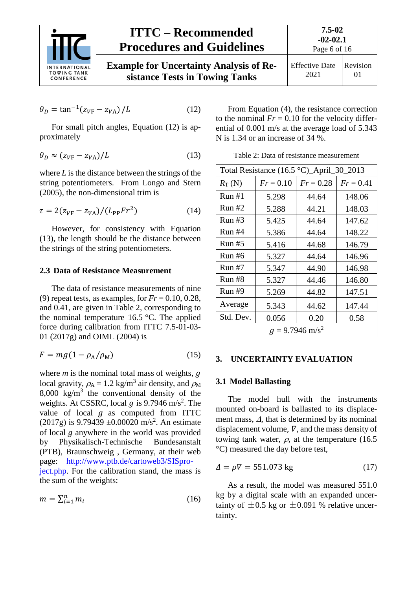

$$
\theta_D = \tan^{-1}(z_{VF} - z_{VA})/L \tag{12}
$$

For small pitch angles, Equation [\(12\)](#page-5-3) is approximately

<span id="page-5-4"></span>
$$
\theta_D \approx (z_{VF} - z_{VA})/L \tag{13}
$$

where *L* is the distance between the strings of the string potentiometers. From Longo and Stern (2005), the non-dimensional trim is

$$
\tau = 2(z_{VF} - z_{VA})/(L_{PP}Fr^2)
$$
 (14)

However, for consistency with Equation [\(13\),](#page-5-4) the length should be the distance between the strings of the string potentiometers.

### <span id="page-5-0"></span>**2.3 Data of Resistance Measurement**

The data of resistance measurements of nine (9) repeat tests, as examples, for  $Fr = 0.10, 0.28$ , and 0.41, are given in [Table 2,](#page-5-5) corresponding to the nominal temperature 16.5 °C. The applied force during calibration from ITTC 7.5-01-03- 01 (2017g) and OIML (2004) is

<span id="page-5-6"></span>
$$
F = mg(1 - \rho_A/\rho_M) \tag{15}
$$

where  $m$  is the nominal total mass of weights,  $q$ local gravity,  $\rho_A = 1.2$  kg/m<sup>3</sup> air density, and  $\rho_M$ 8,000 kg/ $m<sup>3</sup>$  the conventional density of the weights. At CSSRC, local  $g$  is 9.7946 m/s<sup>2</sup>. The value of local  $q$  as computed from ITTC  $(2017g)$  is 9.79439 ±0.00020 m/s<sup>2</sup>. An estimate of local  $g$  anywhere in the world was provided<br>by Physikalisch-Technische Bundesanstalt Physikalisch-Technische (PTB), Braunschweig , Germany, at their web page: [http://www.ptb.de/cartoweb3/SISpro](http://www.ptb.de/cartoweb3/SISproject.php)[ject.php.](http://www.ptb.de/cartoweb3/SISproject.php) For the calibration stand, the mass is the sum of the weights:

$$
m = \sum_{i=1}^{n} m_i \tag{16}
$$

<span id="page-5-3"></span>From Equation [\(4\),](#page-4-5) the resistance correction to the nominal  $Fr = 0.10$  for the velocity differential of 0.001 m/s at the average load of 5.343 N is 1.34 or an increase of 34 %.

<span id="page-5-5"></span>Table 2: Data of resistance measurement

<span id="page-5-7"></span>

| Total Resistance $(16.5 °C)$ _April_30_2013 |             |             |             |
|---------------------------------------------|-------------|-------------|-------------|
| $R_{\rm T}$ (N)                             | $Fr = 0.10$ | $Fr = 0.28$ | $Fr = 0.41$ |
| Run#1                                       | 5.298       | 44.64       | 148.06      |
| Run#2                                       | 5.288       | 44.21       | 148.03      |
| Run#3                                       | 5.425       | 44.64       | 147.62      |
| Run#4                                       | 5.386       | 44.64       | 148.22      |
| Run#5                                       | 5.416       | 44.68       | 146.79      |
| Run#6                                       | 5.327       | 44.64       | 146.96      |
| <b>Run #7</b>                               | 5.347       | 44.90       | 146.98      |
| Run#8                                       | 5.327       | 44.46       | 146.80      |
| <b>Run #9</b>                               | 5.269       | 44.82       | 147.51      |
| Average                                     | 5.343       | 44.62       | 147.44      |
| Std. Dev.                                   | 0.056       | 0.20        | 0.58        |
| $q = 9.7946$ m/s <sup>2</sup>               |             |             |             |

### <span id="page-5-2"></span><span id="page-5-1"></span>**3. UNCERTAINTY EVALUATION**

## **3.1 Model Ballasting**

The model hull with the instruments mounted on-board is ballasted to its displacement mass, ∆, that is determined by its nominal displacement volume,  $\nabla$ , and the mass density of towing tank water,  $\rho$ , at the temperature (16.5) °C) measured the day before test,

$$
\Delta = \rho \nabla = 551.073 \text{ kg} \tag{17}
$$

As a result, the model was measured 551.0 kg by a digital scale with an expanded uncertainty of  $\pm 0.5$  kg or  $\pm 0.091$  % relative uncertainty.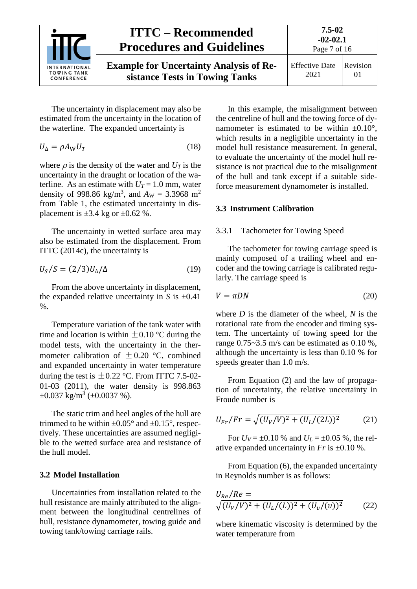

The uncertainty in displacement may also be estimated from the uncertainty in the location of the waterline. The expanded uncertainty is

<span id="page-6-3"></span>
$$
U_{\Delta} = \rho A_{\rm W} U_T \tag{18}
$$

where  $\rho$  is the density of the water and  $U_T$  is the uncertainty in the draught or location of the waterline. As an estimate with  $U_T = 1.0$  mm, water density of 998.86 kg/m<sup>3</sup>, and  $A_{\rm W} = 3.3968$  m<sup>2</sup> from [Table 1,](#page-3-2) the estimated uncertainty in displacement is  $\pm 3.4$  kg or  $\pm 0.62$  %.

The uncertainty in wetted surface area may also be estimated from the displacement. From ITTC (2014c), the uncertainty is

<span id="page-6-4"></span>
$$
U_S/S = (2/3)U_{\Delta}/\Delta \tag{19}
$$

From the above uncertainty in displacement, the expanded relative uncertainty in *S* is  $\pm 0.41$  $\%$ .

Temperature variation of the tank water with time and location is within  $\pm 0.10$  °C during the model tests, with the uncertainty in the thermometer calibration of  $\pm$  0.20 °C, combined and expanded uncertainty in water temperature during the test is  $\pm 0.22$  °C. From ITTC 7.5-02-01-03 (2011), the water density is 998.863  $\pm 0.037 \text{ kg/m}^3 \ (\pm 0.0037 \ \text{\%}).$ 

The static trim and heel angles of the hull are trimmed to be within  $\pm 0.05^{\circ}$  and  $\pm 0.15^{\circ}$ , respectively. These uncertainties are assumed negligible to the wetted surface area and resistance of the hull model.

#### <span id="page-6-0"></span>**3.2 Model Installation**

Uncertainties from installation related to the hull resistance are mainly attributed to the alignment between the longitudinal centrelines of hull, resistance dynamometer, towing guide and towing tank/towing carriage rails.

In this example, the misalignment between the centreline of hull and the towing force of dynamometer is estimated to be within  $\pm 0.10^{\circ}$ , which results in a negligible uncertainty in the model hull resistance measurement. In general, to evaluate the uncertainty of the model hull resistance is not practical due to the misalignment of the hull and tank except if a suitable sideforce measurement dynamometer is installed.

#### <span id="page-6-2"></span><span id="page-6-1"></span>**3.3 Instrument Calibration**

#### 3.3.1 Tachometer for Towing Speed

The tachometer for towing carriage speed is mainly composed of a trailing wheel and encoder and the towing carriage is calibrated regularly. The carriage speed is

$$
V = \pi DN \tag{20}
$$

where *D* is the diameter of the wheel, *N* is the rotational rate from the encoder and timing system. The uncertainty of towing speed for the range  $0.75 \sim 3.5$  m/s can be estimated as  $0.10\%$ . although the uncertainty is less than 0.10 % for speeds greater than 1.0 m/s.

From Equation [\(2\)](#page-3-3) and the law of propagation of uncertainty, the relative uncertainty in Froude number is

$$
U_{Fr}/Fr = \sqrt{(U_V/V)^2 + (U_L/(2L))^2}
$$
 (21)

For  $U_V = \pm 0.10$  % and  $U_L = \pm 0.05$  %, the relative expanded uncertainty in *Fr* is ±0.10 %.

From Equatio[n \(6\),](#page-4-6) the expanded uncertainty in Reynolds number is as follows:

$$
U_{Re}/Re = \sqrt{(U_V/V)^2 + (U_L/(L))^2 + (U_v/(v))^2}
$$
 (22)

where kinematic viscosity is determined by the water temperature from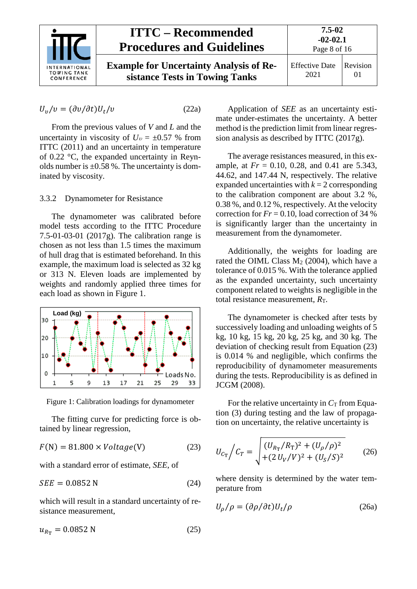

$$
U_{\nu}/\nu = (\partial \nu/\partial t)U_t/\nu \tag{22a}
$$

From the previous values of *V* and *L* and the uncertainty in viscosity of  $U_v = \pm 0.57$  % from ITTC (2011) and an uncertainty in temperature of 0.22 °C, the expanded uncertainty in Reynolds number is  $\pm 0.58$  %. The uncertainty is dominated by viscosity.

#### <span id="page-7-0"></span>3.3.2 Dynamometer for Resistance

The dynamometer was calibrated before model tests according to the ITTC Procedure 7.5-01-03-01 (2017g). The calibration range is chosen as not less than 1.5 times the maximum of hull drag that is estimated beforehand. In this example, the maximum load is selected as 32 kg or 313 N. Eleven loads are implemented by weights and randomly applied three times for each load as shown in [Figure 1.](#page-7-1)



<span id="page-7-1"></span>Figure 1: Calibration loadings for dynamometer

The fitting curve for predicting force is obtained by linear regression,

$$
F(N) = 81.800 \times Voltage(V)
$$
 (23)

with a standard error of estimate, *SEE*, of

$$
SEE = 0.0852 \text{ N} \tag{24}
$$

which will result in a standard uncertainty of resistance measurement,

$$
u_{R_{\rm T}} = 0.0852 \text{ N} \tag{25}
$$

Application of *SEE* as an uncertainty estimate under-estimates the uncertainty. A better method is the prediction limit from linear regression analysis as described by ITTC (2017g).

The average resistances measured, in this example, at *Fr* = 0.10, 0.28, and 0.41 are 5.343, 44.62, and 147.44 N, respectively. The relative expanded uncertainties with  $k = 2$  corresponding to the calibration component are about 3.2 %, 0.38 %, and 0.12 %, respectively. At the velocity correction for  $Fr = 0.10$ , load correction of 34 % is significantly larger than the uncertainty in measurement from the dynamometer.

Additionally, the weights for loading are rated the OIML Class  $M<sub>2</sub>$  (2004), which have a tolerance of 0.015 %. With the tolerance applied as the expanded uncertainty, such uncertainty component related to weights is negligible in the total resistance measurement,  $R_T$ .

The dynamometer is checked after tests by successively loading and unloading weights of 5 kg, 10 kg, 15 kg, 20 kg, 25 kg, and 30 kg. The deviation of checking result from Equation [\(23\)](#page-7-2) is 0.014 % and negligible, which confirms the reproducibility of dynamometer measurements during the tests. Reproducibility is as defined in JCGM (2008).

For the relative uncertainty in  $C_T$  from Equation [\(3\)](#page-4-2) during testing and the law of propagation on uncertainty, the relative uncertainty is

<span id="page-7-2"></span>
$$
U_{C_T} / C_T = \sqrt{\frac{(U_{R_T}/R_T)^2 + (U_\rho/\rho)^2}{(2U_V/V)^2 + (U_S/S)^2}}
$$
 (26)

where density is determined by the water temperature from

$$
U_{\rho}/\rho = (\partial \rho/\partial t)U_t/\rho \qquad (26a)
$$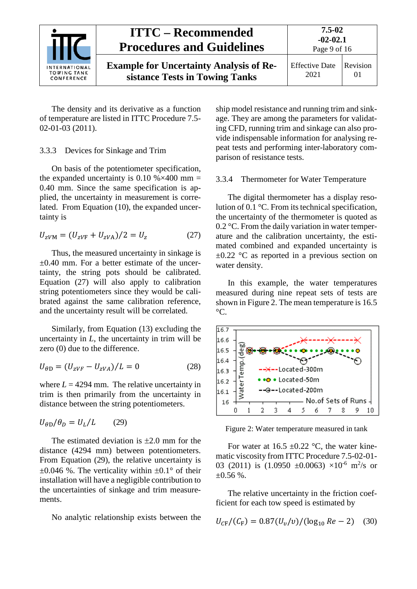

The density and its derivative as a function of temperature are listed in ITTC Procedure 7.5- 02-01-03 (2011).

#### <span id="page-8-0"></span>3.3.3 Devices for Sinkage and Trim

On basis of the potentiometer specification, the expanded uncertainty is 0.10 % $\times$ 400 mm = 0.40 mm. Since the same specification is applied, the uncertainty in measurement is correlated. From Equation [\(10\),](#page-4-7) the expanded uncertainty is

$$
U_{ZVM} = (U_{ZVF} + U_{ZVA})/2 = U_z \tag{27}
$$

Thus, the measured uncertainty in sinkage is  $\pm 0.40$  mm. For a better estimate of the uncertainty, the string pots should be calibrated. Equation [\(27\)](#page-8-2) will also apply to calibration string potentiometers since they would be calibrated against the same calibration reference, and the uncertainty result will be correlated.

Similarly, from Equation [\(13\)](#page-5-4) excluding the uncertainty in *L*, the uncertainty in trim will be zero (0) due to the difference.

$$
U_{\theta D} = (U_{zVF} - U_{zVA})/L = 0
$$
 (28)

where  $L = 4294$  mm. The relative uncertainty in trim is then primarily from the uncertainty in distance between the string potentiometers.

<span id="page-8-3"></span>
$$
U_{\theta D}/\theta_D = U_L/L \qquad (29)
$$

The estimated deviation is  $\pm 2.0$  mm for the distance (4294 mm) between potentiometers. From Equation [\(29\),](#page-8-3) the relative uncertainty is  $\pm 0.046$  %. The verticality within  $\pm 0.1^{\circ}$  of their installation will have a negligible contribution to the uncertainties of sinkage and trim measurements.

No analytic relationship exists between the

ship model resistance and running trim and sinkage. They are among the parameters for validating CFD, running trim and sinkage can also provide indispensable information for analysing repeat tests and performing inter-laboratory comparison of resistance tests.

#### <span id="page-8-1"></span>3.3.4 Thermometer for Water Temperature

<span id="page-8-2"></span>The digital thermometer has a display resolution of 0.1 °C. From its technical specification, the uncertainty of the thermometer is quoted as 0.2 °C. From the daily variation in water temperature and the calibration uncertainty, the estimated combined and expanded uncertainty is  $\pm 0.22$  °C as reported in a previous section on water density.

In this example, the water temperatures measured during nine repeat sets of tests are shown i[n Figure 2.](#page-8-4) The mean temperature is 16.5  $\mathrm{C}$ .



<span id="page-8-4"></span>Figure 2: Water temperature measured in tank

For water at  $16.5 \pm 0.22$  °C, the water kinematic viscosity from ITTC Procedure 7.5-02-01- 03 (2011) is  $(1.0950 \pm 0.0063) \times 10^{-6}$  m<sup>2</sup>/s or  $+0.56\%$ .

The relative uncertainty in the friction coefficient for each tow speed is estimated by

$$
U_{\rm CF}/(C_{\rm F}) = 0.87(U_v/v)/(\log_{10} Re - 2) \quad (30)
$$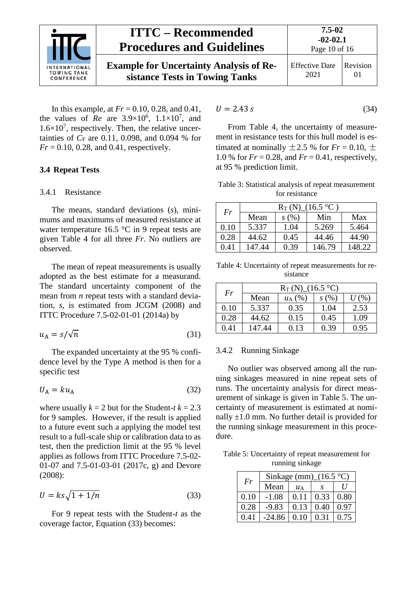

In this example, at *Fr* = 0.10, 0.28, and 0.41, the values of *Re* are  $3.9 \times 10^6$ ,  $1.1 \times 10^7$ , and  $1.6 \times 10^7$ , respectively. Then, the relative uncertainties of  $C_F$  are 0.11, 0.098, and 0.094 % for *Fr* = 0.10, 0.28, and 0.41, respectively.

#### <span id="page-9-1"></span><span id="page-9-0"></span>**3.4 Repeat Tests**

#### 3.4.1 Resistance

The means, standard deviations (*s*), minimums and maximums of measured resistance at water temperature 16.5 °C in 9 repeat tests are given Table 4 for all three *Fr*. No outliers are observed.

The mean of repeat measurements is usually adopted as the best estimate for a measurand. The standard uncertainty component of the mean from *n* repeat tests with a standard deviation, *s*, is estimated from JCGM (2008) and ITTC Procedure 7.5-02-01-01 (2014a) by

$$
u_{A} = s/\sqrt{n} \tag{31}
$$

The expanded uncertainty at the 95 % confidence level by the Type A method is then for a specific test

$$
U_{\rm A} = k u_{\rm A} \tag{32}
$$

where usually  $k = 2$  but for the Student-*t*  $k = 2.3$ for 9 samples. However, if the result is applied to a future event such a applying the model test result to a full-scale ship or calibration data to as test, then the prediction limit at the 95 % level applies as follows from ITTC Procedure 7.5-02- 01-07 and 7.5-01-03-01 (2017c, g) and Devore (2008):

<span id="page-9-3"></span>
$$
U = ks\sqrt{1 + 1/n} \tag{33}
$$

For 9 repeat tests with the Student-*t* as the coverage factor, Equation [\(33\)](#page-9-3) becomes:

$$
U = 2.43 \text{ s} \tag{34}
$$

From [Table 4,](#page-9-4) the uncertainty of measurement in resistance tests for this hull model is estimated at nominally  $\pm 2.5$  % for  $Fr = 0.10$ ,  $\pm$ 1.0 % for  $Fr = 0.28$ , and  $Fr = 0.41$ , respectively, at 95 % prediction limit.

Table 3: Statistical analysis of repeat measurement for resistance

| Fr   | $R_{\rm T}$ (N)_(16.5 °C) |      |        |        |  |
|------|---------------------------|------|--------|--------|--|
|      | Mean                      | s(%) | Min    | Max    |  |
| 0.10 | 5.337                     | 1.04 | 5.269  | 5.464  |  |
| 0.28 | 44.62                     | 0.45 | 44.46  | 44.90  |  |
| 0.41 | 147.44                    | 0.39 | 146.79 | 148.22 |  |

<span id="page-9-4"></span>Table 4: Uncertainty of repeat measurements for resistance

| Fr   | $R_{\rm T}$ (N) (16.5 °C) |              |      |         |  |
|------|---------------------------|--------------|------|---------|--|
|      | Mean                      | $u_A$ $(\%)$ | s(%) | $U$ (%) |  |
| 0.10 | 5.337                     | 0.35         | 1.04 | 2.53    |  |
| 0.28 | 44.62                     | 0.15         | 0.45 | 1.09    |  |
| 0.41 | 147.44                    | 0.13         | 0.39 | 0.95    |  |

#### <span id="page-9-2"></span>3.4.2 Running Sinkage

No outlier was observed among all the running sinkages measured in nine repeat sets of runs. The uncertainty analysis for direct measurement of sinkage is given in [Table 5.](#page-9-5) The uncertainty of measurement is estimated at nominally  $\pm 1.0$  mm. No further detail is provided for the running sinkage measurement in this procedure.

<span id="page-9-5"></span>Table 5: Uncertainty of repeat measurement for running sinkage

| Fr   | Sinkage (mm) $(16.5 °C)$ |      |      |          |  |
|------|--------------------------|------|------|----------|--|
|      | Mean                     | ИA   |      | $\prime$ |  |
| 0.10 | $-1.08$                  | 0.11 | 0.33 | 0.80     |  |
| 0.28 | $-9.83$                  | 0.13 | 0.40 | 0.97     |  |
| 0.41 | $-24.86$                 | 0.10 | 0.31 | 0.75     |  |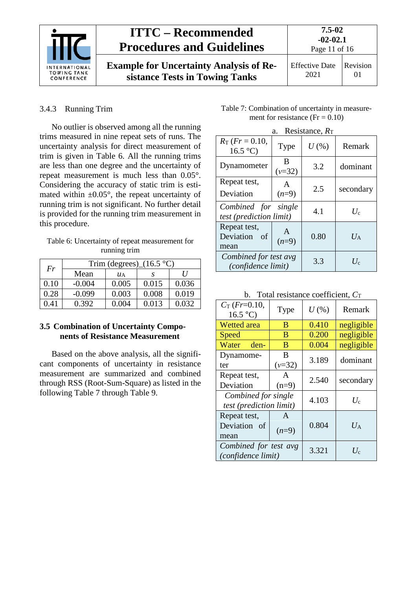

**Example for Uncertainty Analysis of Resistance Tests in Towing Tanks**

### <span id="page-10-0"></span>3.4.3 Running Trim

No outlier is observed among all the running trims measured in nine repeat sets of runs. The uncertainty analysis for direct measurement of trim is given in [Table 6.](#page-10-2) All the running trims are less than one degree and the uncertainty of repeat measurement is much less than 0.05°. Considering the accuracy of static trim is estimated within  $\pm 0.05^{\circ}$ , the repeat uncertainty of running trim is not significant. No further detail is provided for the running trim measurement in this procedure.

<span id="page-10-2"></span>Table 6: Uncertainty of repeat measurement for running trim

| Fr   | Trim (degrees) $(16.5 °C)$ |       |       |       |  |
|------|----------------------------|-------|-------|-------|--|
|      | Mean                       | ИA    |       | I     |  |
| 0.10 | $-0.004$                   | 0.005 | 0.015 | 0.036 |  |
| 0.28 | $-0.099$                   | 0.003 | 0.008 | 0.019 |  |
| 0.41 | 0.392                      | 0.004 | 0.013 | 0.032 |  |

#### <span id="page-10-1"></span>**3.5 Combination of Uncertainty Components of Resistance Measurement**

Based on the above analysis, all the significant components of uncertainty in resistance measurement are summarized and combined through RSS (Root-Sum-Square) as listed in the following [Table 7](#page-10-3) through Table 9.

<span id="page-10-3"></span>Table 7: Combination of uncertainty in measurement for resistance ( $Fr = 0.10$ )

|                                                                | a.                | Resistance, $R_T$ |             |
|----------------------------------------------------------------|-------------------|-------------------|-------------|
| $R_{\rm T}$ (Fr = 0.10,<br>$16.5^{\circ}C$                     | Type              | $U$ (%)           | Remark      |
| Dynamometer                                                    | B<br>$(\nu = 32)$ | 3.2               | dominant    |
| Repeat test,<br>Deviation                                      | A<br>$(n=9)$      | 2.5               | secondary   |
| Combined for single<br><i>test</i> ( <i>prediction limit</i> ) |                   | 4.1               | $U_c$       |
| Repeat test,<br>Deviation<br>οf<br>mean                        | $(n=9)$           | 0.80              | $U_{\rm A}$ |
| Combined for test avg<br><i>(confidence limit)</i>             |                   | 3.3               | $U_c$       |

b. Total resistance coefficient,  $C_T$ 

| $C_T$ (Fr=0.10,<br>16.5 °C              | Type         | $U$ (%) | Remark      |  |
|-----------------------------------------|--------------|---------|-------------|--|
| <b>Wetted</b> area                      | B            | 0.410   | negligible  |  |
| Speed                                   | B            | 0.200   | negligible  |  |
| Water<br>den-                           | B            | 0.004   | negligible  |  |
| Dynamome-                               | B            | 3.189   |             |  |
| ter                                     | $(\nu = 32)$ |         | dominant    |  |
| Repeat test,                            | A            | 2.540   | secondary   |  |
| Deviation                               | $(n=9)$      |         |             |  |
| Combined for single                     |              | 4.103   | $U_{\rm c}$ |  |
| <i>test</i> ( <i>prediction limit</i> ) |              |         |             |  |
| Repeat test,                            | A            |         |             |  |
| Deviation of                            | $(n=9)$      | 0.804   | $U_A$       |  |
| mean                                    |              |         |             |  |
| Combined for test avg                   |              | 3.321   | $U_c$       |  |
| (confidence limit)                      |              |         |             |  |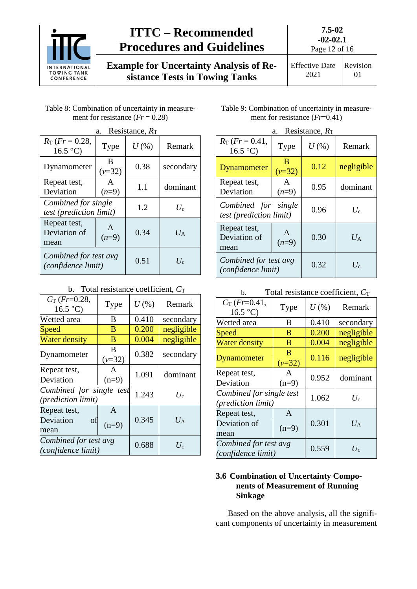

**Example for Uncertainty Analysis of Resistance Tests in Towing Tanks**

2021 01

| Table 8: Combination of uncertainty in measure- |
|-------------------------------------------------|
| ment for resistance $(Fr = 0.28)$               |

| Resistance, $R_T$<br>a.                                        |                         |         |             |
|----------------------------------------------------------------|-------------------------|---------|-------------|
| $R_{\rm T}$ (Fr = 0.28,<br>$16.5$ °C)                          | Type                    | $U$ (%) | Remark      |
| Dynamometer                                                    | B<br>$(v=32)$           | 0.38    | secondary   |
| Repeat test,<br>Deviation                                      | $\mathsf{A}$<br>$(n=9)$ | 1.1     | dominant    |
| Combined for single<br><i>test</i> ( <i>prediction limit</i> ) |                         | 1.2     | $U_c$       |
| Repeat test,<br>Deviation of<br>mean                           | A<br>$(n=9)$            | 0.34    | $U_{\rm A}$ |
| Combined for test avg<br>(confidence limit)                    |                         | 0.51    | $U_{c}$     |

|  |  | b. Total resistance coefficient, $C_T$ |  |
|--|--|----------------------------------------|--|
|--|--|----------------------------------------|--|

| $C_T$ (Fr=0.28,<br>16.5 °C                              | Type          | $U$ $(\%)$  | Remark         |
|---------------------------------------------------------|---------------|-------------|----------------|
| Wetted area                                             | B             | 0.410       | secondary      |
| Speed                                                   | B             | 0.200       | negligible     |
| <b>Water density</b>                                    | B             | 0.004       | negligible     |
| Dynamometer                                             | B<br>$(v=32)$ | 0.382       | secondary      |
| Repeat test,<br>Deviation                               | A<br>$(n=9)$  | 1.091       | dominant       |
| Combined for single test<br>( <i>prediction limit</i> ) | 1.243         | $U_{\rm c}$ |                |
| Repeat test,<br>Deviation<br>of<br>mean                 | A<br>$(n=9)$  | 0.345       | $U_\mathrm{A}$ |
| Combined for test avg<br>(confidence limit)             |               | 0.688       | $U_{\rm c}$    |

| Table 9: Combination of uncertainty in measure- |
|-------------------------------------------------|
| ment for resistance $(Fr=0.41)$                 |

| Resistance, $R_T$<br>a.                                        |                     |         |             |
|----------------------------------------------------------------|---------------------|---------|-------------|
| $R_T$ (Fr = 0.41,<br>16.5 °C                                   | Type                | $U$ (%) | Remark      |
| Dynamometer                                                    | R<br>$(\nu = 32)$   | 0.12    | negligible  |
| Repeat test,<br>Deviation                                      | A<br>$(n=9)$        | 0.95    | dominant    |
| Combined for single<br><i>test</i> ( <i>prediction limit</i> ) |                     | 0.96    | $U_c$       |
| Repeat test,<br>Deviation of<br>mean                           | $\Delta$<br>$(n=9)$ | 0.30    | $U_{\rm A}$ |
| Combined for test avg<br>(confidence limit)                    |                     | 0.32    | $U_c$       |

| Total resistance coefficient, $C_T$<br>b.             |                         |         |                |
|-------------------------------------------------------|-------------------------|---------|----------------|
| $C_T$ (Fr=0.41,<br>16.5 °C                            | Type                    | $U$ (%) | Remark         |
| Wetted area                                           | B                       | 0.410   | secondary      |
| Speed                                                 | B                       | 0.200   | negligible     |
| <b>Water density</b>                                  | B                       | 0.004   | negligible     |
| <b>Dynamometer</b>                                    | B<br>$(v=32)$           | 0.116   | negligible     |
| Repeat test,<br>Deviation                             | $\mathsf{A}$<br>$(n=9)$ | 0.952   | dominant       |
| Combined for single test<br><i>(prediction limit)</i> |                         | 1.062   | $U_{\rm c}$    |
| Repeat test,<br>Deviation of<br>mean                  | A<br>$(n=9)$            | 0.301   | $U_\mathrm{A}$ |
| Combined for test avg<br>(confidence limit)           |                         | 0.559   | $U_{\rm c}$    |

### <span id="page-11-0"></span>**3.6 Combination of Uncertainty Components of Measurement of Running Sinkage**

Based on the above analysis, all the significant components of uncertainty in measurement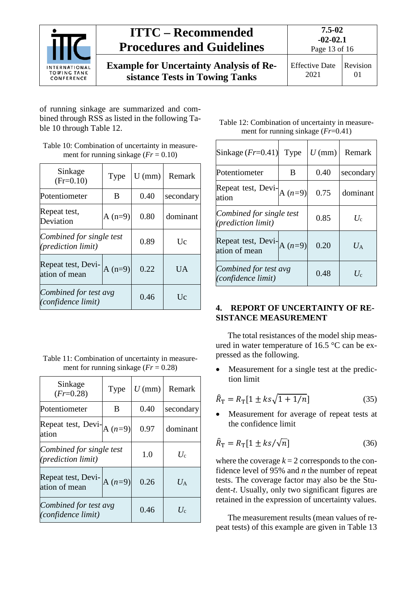

of running sinkage are summarized and combined through RSS as listed in the following [Ta](#page-12-1)[ble 10](#page-12-1) through [Table 12.](#page-12-2)

<span id="page-12-1"></span>Table 10: Combination of uncertainty in measurement for running sinkage  $(Fr = 0.10)$ 

| Sinkage<br>$(Fr=0.10)$                          | Type | $U$ (mm) | Remark    |  |
|-------------------------------------------------|------|----------|-----------|--|
| Potentiometer                                   | B    |          | secondary |  |
| Repeat test,<br>$A(n=9)$<br>Deviation           |      | 0.80     | dominant  |  |
| Combined for single test<br>(prediction limit)  | 0.89 | Uc       |           |  |
| Repeat test, Devi-<br>$A(n=9)$<br>ation of mean |      | 0.22     | <b>UA</b> |  |
| Combined for test avg<br>(confidence limit)     |      | 0.46     | Uc        |  |

Table 11: Combination of uncertainty in measurement for running sinkage (*Fr* = 0.28)

<span id="page-12-2"></span>

| Sinkage<br>$(Fr = 0.28)$                                | Type      | $U$ (mm) | Remark      |
|---------------------------------------------------------|-----------|----------|-------------|
| Potentiometer                                           | B         | 0.40     | secondary   |
| Repeat test, Devi-<br>ation                             | $A(n=9)$  | 0.97     | dominant    |
| Combined for single test<br>( <i>prediction limit</i> ) | 1.0       | $U_c$    |             |
| Repeat test, Devi-<br>ation of mean                     | A $(n=9)$ | 0.26     | $U_{\rm A}$ |
| Combined for test avg<br>(confidence limit)             |           | 0.46     | $U_c$       |

Table 12: Combination of uncertainty in measurement for running sinkage (*Fr*=0.41)

| Sinkage $(Fr=0.41)$                                   | Type     | $U$ (mm) | Remark      |
|-------------------------------------------------------|----------|----------|-------------|
| Potentiometer                                         | B        | 0.40     | secondary   |
| Repeat test, Devi-<br>ation                           | $A(n=9)$ | 0.75     | dominant    |
| Combined for single test<br><i>(prediction limit)</i> |          | 0.85     | $U_c$       |
| Repeat test, Devi- $A(n=9)$<br>ation of mean          |          | 0.20     | $U_{\rm A}$ |
| Combined for test avg<br>(confidence limit)           |          | 0.48     | $U_{\rm c}$ |

### <span id="page-12-0"></span>**4. REPORT OF UNCERTAINTY OF RE-SISTANCE MEASUREMENT**

The total resistances of the model ship measured in water temperature of 16.5 °C can be expressed as the following.

Measurement for a single test at the prediction limit

$$
\hat{R}_{\rm T} = R_{\rm T} [1 \pm k s \sqrt{1 + 1/n}] \tag{35}
$$

Measurement for average of repeat tests at the confidence limit

$$
\hat{R}_{\rm T} = R_{\rm T} [1 \pm ks/\sqrt{n}] \tag{36}
$$

where the coverage  $k = 2$  corresponds to the confidence level of 95% and *n* the number of repeat tests. The coverage factor may also be the Student-*t*. Usually, only two significant figures are retained in the expression of uncertainty values.

The measurement results (mean values of repeat tests) of this example are given in [Table 13](#page-13-0)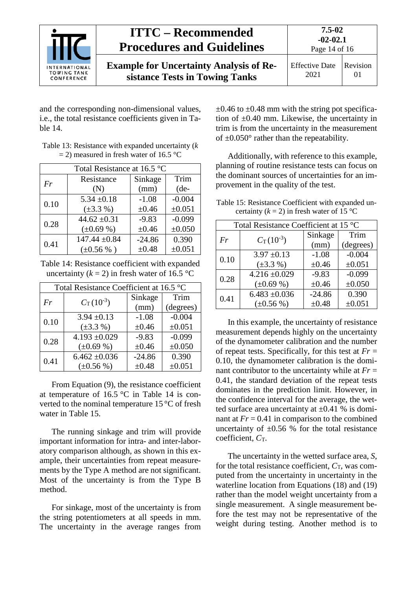| <b>INTERNATIONAL</b><br><b>TOWING TANK</b><br>CONFERENCE | <b>ITTC – Recommended</b><br><b>Procedures and Guidelines</b>                    | 7.5-02<br>$-02-02.1$<br>Page 14 of 16 |                      |
|----------------------------------------------------------|----------------------------------------------------------------------------------|---------------------------------------|----------------------|
|                                                          | <b>Example for Uncertainty Analysis of Re-</b><br>sistance Tests in Towing Tanks | <b>Effective Date</b><br>2021         | Revision<br>$\Omega$ |

and the corresponding non-dimensional values, i.e., the total resistance coefficients given in [Ta](#page-13-1)[ble 14.](#page-13-1)

<span id="page-13-0"></span>

| Table 13: Resistance with expanded uncertainty $(k)$ |
|------------------------------------------------------|
| $=$ 2) measured in fresh water of 16.5 °C            |

| Total Resistance at 16.5 °C |                   |            |          |
|-----------------------------|-------------------|------------|----------|
| Fr                          | Resistance        | Sinkage    | Trim     |
|                             | (N)               | (mm)       | $(de-$   |
| 0.10                        | $5.34 \pm 0.18$   | $-1.08$    | $-0.004$ |
|                             | $(\pm 3.3\% )$    | $\pm 0.46$ | ±0.051   |
| 0.28                        | 44.62 $\pm 0.31$  | $-9.83$    | $-0.099$ |
|                             | $(\pm 0.69\%)$    | $\pm 0.46$ | ±0.050   |
| 0.41                        | $147.44 \pm 0.84$ | $-24.86$   | 0.390    |
|                             | $(\pm 0.56\%)$    | $\pm 0.48$ | ±0.051   |

<span id="page-13-1"></span>Table 14: Resistance coefficient with expanded uncertainty  $(k = 2)$  in fresh water of 16.5 °C

| Total Resistance Coefficient at 16.5 °C |                       |            |           |
|-----------------------------------------|-----------------------|------------|-----------|
| Fr                                      | $C_{\rm T} (10^{-3})$ | Sinkage    | Trim      |
|                                         |                       | (mm)       | (degrees) |
| 0.10                                    | $3.94 \pm 0.13$       | $-1.08$    | $-0.004$  |
|                                         | $(\pm 3.3\% )$        | $\pm 0.46$ | ±0.051    |
| 0.28                                    | $4.193 + 0.029$       | $-9.83$    | $-0.099$  |
|                                         | $(\pm 0.69\%)$        | $\pm 0.46$ | ±0.050    |
| 0.41                                    | $6.462 \pm 0.036$     | $-24.86$   | 0.390     |
|                                         | $(\pm 0.56\%)$        | $\pm 0.48$ | ±0.051    |

From Equation [\(9\),](#page-4-4) the resistance coefficient at temperature of 16.5  $\degree$ C in [Table 14](#page-13-1) is converted to the nominal temperature 15 °C of fresh water in [Table 15.](#page-13-2)

The running sinkage and trim will provide important information for intra- and inter-laboratory comparison although, as shown in this example, their uncertainties from repeat measurements by the Type A method are not significant. Most of the uncertainty is from the Type B method.

For sinkage, most of the uncertainty is from the string potentiometers at all speeds in mm. The uncertainty in the average ranges from  $\pm 0.46$  to  $\pm 0.48$  mm with the string pot specification of  $\pm 0.40$  mm. Likewise, the uncertainty in trim is from the uncertainty in the measurement of  $\pm 0.050^{\circ}$  rather than the repeatability.

Additionally, with reference to this example, planning of routine resistance tests can focus on the dominant sources of uncertainties for an improvement in the quality of the test.

<span id="page-13-2"></span>Table 15: Resistance Coefficient with expanded uncertainty  $(k = 2)$  in fresh water of 15 °C

| Total Resistance Coefficient at 15 °C |                       |            |           |
|---------------------------------------|-----------------------|------------|-----------|
| Fr                                    | $C_{\rm T} (10^{-3})$ | Sinkage    | Trim      |
|                                       |                       | (mm)       | (degrees) |
| 0.10                                  | $3.97 \pm 0.13$       | $-1.08$    | $-0.004$  |
|                                       | $(\pm 3.3\% )$        | $\pm 0.46$ | ±0.051    |
| 0.28                                  | $4.216 \pm 0.029$     | $-9.83$    | $-0.099$  |
|                                       | $(\pm 0.69\%)$        | $\pm 0.46$ | ±0.050    |
| 0.41                                  | $6.483 + 0.036$       | $-24.86$   | 0.390     |
|                                       | $(\pm 0.56\%)$        | $\pm 0.48$ | ±0.051    |

In this example, the uncertainty of resistance measurement depends highly on the uncertainty of the dynamometer calibration and the number of repeat tests. Specifically, for this test at  $Fr =$ 0.10, the dynamometer calibration is the dominant contributor to the uncertainty while at *Fr* = 0.41, the standard deviation of the repeat tests dominates in the prediction limit. However, in the confidence interval for the average, the wetted surface area uncertainty at  $\pm 0.41$  % is dominant at  $Fr = 0.41$  in comparison to the combined uncertainty of  $\pm 0.56$  % for the total resistance coefficient,  $C$ <sub>T</sub>.

The uncertainty in the wetted surface area, *S*, for the total resistance coefficient,  $C_T$ , was computed from the uncertainty in uncertainty in the waterline location from Equations [\(18\)](#page-6-3) and [\(19\)](#page-6-4) rather than the model weight uncertainty from a single measurement. A single measurement before the test may not be representative of the weight during testing. Another method is to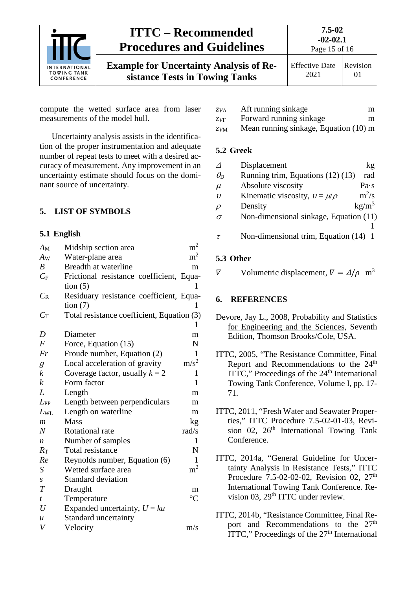

compute the wetted surface area from laser measurements of the model hull.

Uncertainty analysis assists in the identification of the proper instrumentation and adequate number of repeat tests to meet with a desired accuracy of measurement. Any improvement in an uncertainty estimate should focus on the dominant source of uncertainty.

#### <span id="page-14-1"></span><span id="page-14-0"></span>**5. LIST OF SYMBOLS**

#### **5.1 English**

| $A_{\rm M}$      | Midship section area                       | m <sup>2</sup>   |
|------------------|--------------------------------------------|------------------|
| $A_{W}$          | Water-plane area                           | m <sup>2</sup>   |
| $\boldsymbol{B}$ | Breadth at waterline                       | m                |
| $C_{\rm F}$      | Frictional resistance coefficient, Equa-   |                  |
|                  | tion $(5)$                                 | 1                |
| $C_{R}$          | Residuary resistance coefficient, Equa-    |                  |
|                  | tion $(7)$                                 | 1                |
| $C_{\rm T}$      | Total resistance coefficient, Equation (3) |                  |
|                  |                                            |                  |
| D                | Diameter                                   | m                |
| $\boldsymbol{F}$ | Force, Equation (15)                       | N                |
| Fr               | Froude number, Equation (2)                | 1                |
| g                | Local acceleration of gravity              | m/s <sup>2</sup> |
| k                | Coverage factor, usually $k = 2$           | 1                |
| k                | Form factor                                | 1                |
| L                | Length                                     | m                |
| $L_{PP}$         | Length between perpendiculars              | m                |
| $L_{\rm WL}$     | Length on waterline                        | m                |
| $\boldsymbol{m}$ | Mass                                       | kg               |
| N                | Rotational rate                            | rad/s            |
| $\boldsymbol{n}$ | Number of samples                          | 1                |
| $R_{\rm T}$      | <b>Total resistance</b>                    | N                |
| Re               | Reynolds number, Equation (6)              | 1                |
| S                | Wetted surface area                        | m <sup>2</sup>   |
| $\boldsymbol{S}$ | <b>Standard deviation</b>                  |                  |
| T                | Draught                                    | m                |
| $\boldsymbol{t}$ | Temperature                                | $\rm ^{\circ}C$  |
| U                | Expanded uncertainty, $U = ku$             |                  |
| $\boldsymbol{u}$ | Standard uncertainty                       |                  |
| V                | Velocity                                   | m/s              |
|                  |                                            |                  |

- *zV*<sup>F</sup> Forward running sinkage m
- <span id="page-14-2"></span>*zV*<sup>M</sup> Mean running sinkage, Equation [\(10\)](#page-4-7) m

#### **5.2 Greek**

| $\Lambda$           | Displacement                           | kg                |
|---------------------|----------------------------------------|-------------------|
| $\theta_{\rm D}$    | Running trim, Equations (12) (13)      | rad               |
| $\mu$               | Absolute viscosity                     | Pa·s              |
| $\boldsymbol{\eta}$ | Kinematic viscosity, $v = \mu/\rho$    | $m^2/s$           |
| $\rho$              | Density                                | kg/m <sup>3</sup> |
| $\sigma$            | Non-dimensional sinkage, Equation (11) |                   |
|                     |                                        |                   |
|                     | Non-dimensional trim, Equation (14)    |                   |

#### <span id="page-14-3"></span>**5.3 Other**

<span id="page-14-4"></span> $\nabla$  Volumetric displacement,  $\nabla = \Delta/\rho$  m<sup>3</sup>

#### **6. REFERENCES**

- Devore, Jay L., 2008, Probability and Statistics for Engineering and the Sciences, Seventh Edition, Thomson Brooks/Cole, USA.
- ITTC, 2005, "The Resistance Committee, Final Report and Recommendations to the 24<sup>th</sup> ITTC," Proceedings of the 24<sup>th</sup> International Towing Tank Conference, Volume I, pp. 17- 71.
- ITTC, 2011, "Fresh Water and Seawater Properties," ITTC Procedure 7.5-02-01-03, Revision 02,  $26<sup>th</sup>$  International Towing Tank Conference.
- ITTC, 2014a, "General Guideline for Uncertainty Analysis in Resistance Tests," ITTC Procedure 7.5-02-02-02, Revision 02, 27<sup>th</sup> International Towing Tank Conference. Revision 03,  $29<sup>th</sup> ITTC$  under review.
- ITTC, 2014b, "Resistance Committee, Final Report and Recommendations to the 27<sup>th</sup> ITTC," Proceedings of the 27<sup>th</sup> International